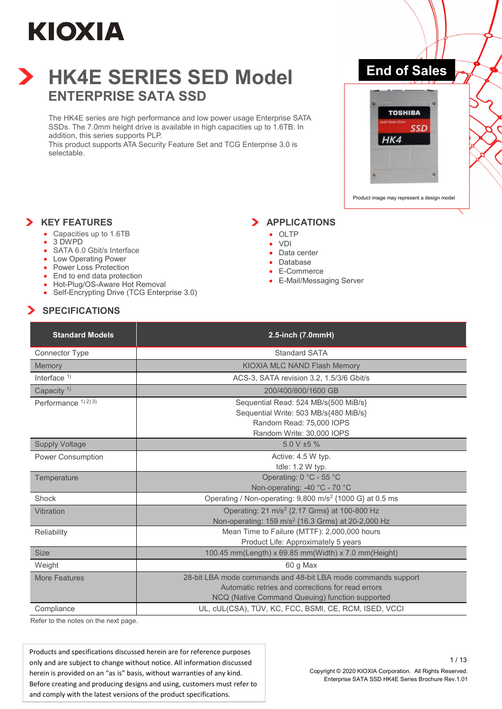

### **HK4E SERIES SED Model ENTERPRISE SATA SSD**

The HK4E series are high performance and low power usage Enterprise SATA SSDs. The 7.0mm height drive is available in high capacities up to 1.6TB. In addition, this series supports PLP.

This product supports ATA Security Feature Set and TCG Enterprise 3.0 is selectable.

### **End of Sales**



Product image may represent a design model

#### **X** KEY FEATURES

- Capacities up to 1.6TB
	- 3 DWPD
	- SATA 6.0 Gbit/s Interface
	- Low Operating Power
	- Power Loss Protection
	- End to end data protection
	- Hot-Plug/OS-Aware Hot Removal
	- Self-Encrypting Drive (TCG Enterprise 3.0)

#### $\blacktriangleright$  APPLICATIONS

- OLTP
- VDI
- Data center
- Database
- E-Commerce
- E-Mail/Messaging Server

#### **SPECIFICATIONS**

| <b>Standard Models</b>   | 2.5-inch (7.0mmH)                                                             |
|--------------------------|-------------------------------------------------------------------------------|
| Connector Type           | Standard SATA                                                                 |
| <b>Memory</b>            | KIOXIA MLC NAND Flash Memory                                                  |
| Interface $1$ )          | ACS-3, SATA revision 3.2, 1.5/3/6 Gbit/s                                      |
| Capacity <sup>1)</sup>   | 200/400/800/1600 GB                                                           |
| Performance $(1)$ 2) 3)  | Sequential Read: 524 MB/s{500 MiB/s}<br>Sequential Write: 503 MB/s{480 MiB/s} |
|                          | Random Read: 75,000 IOPS                                                      |
|                          | Random Write: 30,000 IOPS                                                     |
| <b>Supply Voltage</b>    | $5.0 V \pm 5 \%$                                                              |
| <b>Power Consumption</b> | Active: 4.5 W typ.                                                            |
|                          | Idle: 1.2 W typ.                                                              |
| Temperature              | Operating: 0 °C - 55 °C                                                       |
|                          | Non-operating: -40 °C - 70 °C                                                 |
| Shock                    | Operating / Non-operating: 9,800 m/s <sup>2</sup> {1000 G} at 0.5 ms          |
| Vibration                | Operating: 21 m/s <sup>2</sup> {2.17 Grms} at 100-800 Hz                      |
|                          | Non-operating: 159 m/s <sup>2</sup> {16.3 Grms} at 20-2,000 Hz                |
| Reliability              | Mean Time to Failure (MTTF): 2,000,000 hours                                  |
|                          | Product Life: Approximately 5 years                                           |
| <b>Size</b>              | 100.45 mm(Length) x 69.85 mm(Width) x 7.0 mm(Height)                          |
| Weight                   | 60 g Max                                                                      |
| <b>More Features</b>     | 28-bit LBA mode commands and 48-bit LBA mode commands support                 |
|                          | Automatic retries and corrections for read errors                             |
|                          | NCQ (Native Command Queuing) function supported                               |
| Compliance               | UL, cUL(CSA), TÜV, KC, FCC, BSMI, CE, RCM, ISED, VCCI                         |

Refer to the notes on the next page.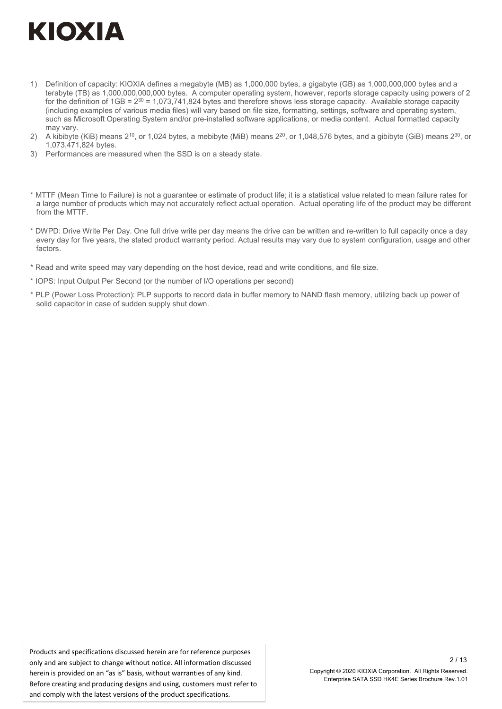- 1) Definition of capacity: KIOXIA defines a megabyte (MB) as 1,000,000 bytes, a gigabyte (GB) as 1,000,000,000 bytes and a terabyte (TB) as 1,000,000,000,000 bytes. A computer operating system, however, reports storage capacity using powers of 2 for the definition of  $1GB = 2^{30} = 1,073,741,824$  bytes and therefore shows less storage capacity. Available storage capacity (including examples of various media files) will vary based on file size, formatting, settings, software and operating system, such as Microsoft Operating System and/or pre-installed software applications, or media content. Actual formatted capacity may vary.
- 2) A kibibyte (KiB) means  $2^{10}$ , or 1,024 bytes, a mebibyte (MiB) means  $2^{20}$ , or 1,048,576 bytes, and a gibibyte (GiB) means  $2^{30}$ , or 1,073,471,824 bytes.
- 3) Performances are measured when the SSD is on a steady state.
- \* MTTF (Mean Time to Failure) is not a guarantee or estimate of product life; it is a statistical value related to mean failure rates for a large number of products which may not accurately reflect actual operation. Actual operating life of the product may be different from the MTTF.
- \* DWPD: Drive Write Per Day. One full drive write per day means the drive can be written and re-written to full capacity once a day every day for five years, the stated product warranty period. Actual results may vary due to system configuration, usage and other factors.
- \* Read and write speed may vary depending on the host device, read and write conditions, and file size.
- \* IOPS: Input Output Per Second (or the number of I/O operations per second)
- \* PLP (Power Loss Protection): PLP supports to record data in buffer memory to NAND flash memory, utilizing back up power of solid capacitor in case of sudden supply shut down.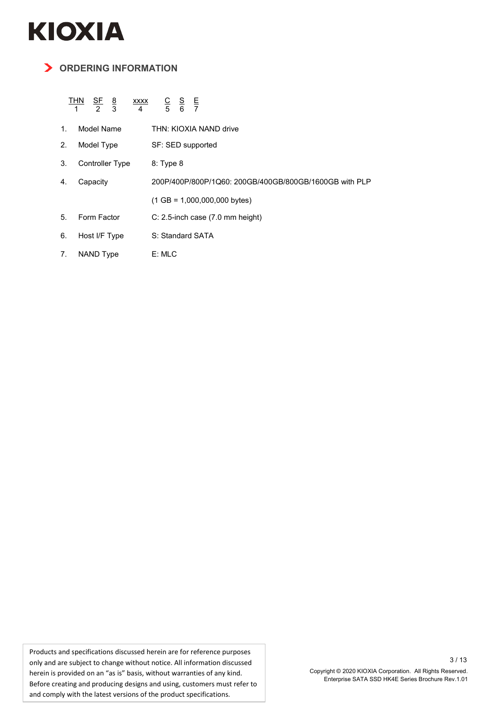#### **ORDERING INFORMATION**

#### <u>THN SF 8 xxxx C S E</u> 1 2 3 4 5 6 7

| $1_{-}$ | Model Name | THN: KIOXIA NAND drive |
|---------|------------|------------------------|
| 2.      | Model Type | SF: SED supported      |

- 3. Controller Type 8: Type 8
- 4. Capacity 200P/400P/800P/1Q60: 200GB/400GB/800GB/1600GB with PLP
	- (1 GB = 1,000,000,000 bytes)
- 5. Form Factor C: 2.5-inch case (7.0 mm height)
- 6. Host I/F Type S: Standard SATA
- 7. NAND Type E: MLC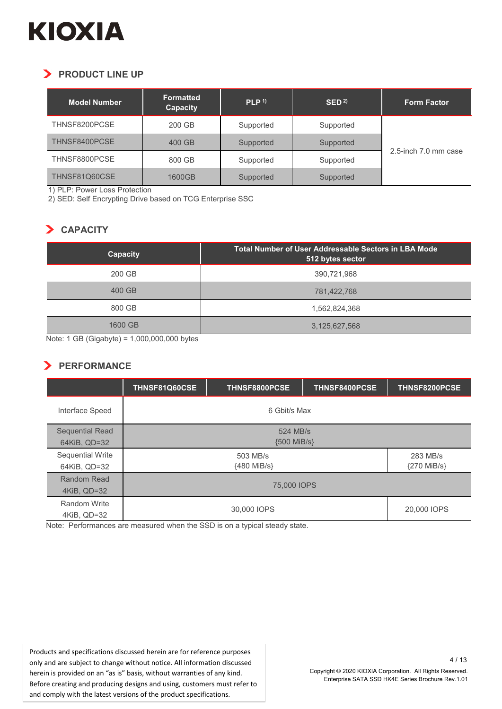### **PRODUCT LINE UP**

| <b>Model Number</b> | <b>Formatted</b><br>Capacity | PLP <sup>1</sup> | $\mathsf{SED}^{2)}$ | <b>Form Factor</b>   |
|---------------------|------------------------------|------------------|---------------------|----------------------|
| THNSF8200PCSE       | 200 GB                       | Supported        | Supported           |                      |
| THNSF8400PCSE       | 400 GB                       | Supported        | Supported           |                      |
| THNSF8800PCSE       | 800 GB                       | Supported        | Supported           | 2.5-inch 7.0 mm case |
| THNSF81Q60CSE       | 1600GB                       | Supported        | Supported           |                      |

1) PLP: Power Loss Protection

2) SED: Self Encrypting Drive based on TCG Enterprise SSC

#### **CAPACITY**

| <b>Capacity</b> | <b>Total Number of User Addressable Sectors in LBA Mode</b><br>512 bytes sector |
|-----------------|---------------------------------------------------------------------------------|
| 200 GB          | 390,721,968                                                                     |
| 400 GB          | 781,422,768                                                                     |
| 800 GB          | 1,562,824,368                                                                   |
| 1600 GB         | 3,125,627,568                                                                   |

Note: 1 GB (Gigabyte) = 1,000,000,000 bytes

#### **PERFORMANCE**

|                         | THNSF81Q60CSE  | THNSF8800PCSE | THNSF8400PCSE | THNSF8200PCSE |
|-------------------------|----------------|---------------|---------------|---------------|
| Interface Speed         | 6 Gbit/s Max   |               |               |               |
| Sequential Read         | 524 MB/s       |               |               |               |
| 64KiB, QD=32            | ${500}$ MiB/s} |               |               |               |
| <b>Sequential Write</b> | 503 MB/s       |               | 283 MB/s      |               |
| 64KiB, QD=32            | {480 MiB/s}    |               | {270 MiB/s}   |               |
| Random Read             | 75,000 IOPS    |               |               |               |
| 4KiB, QD=32             |                |               |               |               |
| Random Write            |                | 30,000 IOPS   |               | 20,000 IOPS   |
| 4KiB, QD=32             |                |               |               |               |

Note: Performances are measured when the SSD is on a typical steady state.

Products and specifications discussed herein are for reference purposes only and are subject to change without notice. All information discussed herein is provided on an "as is" basis, without warranties of any kind. Before creating and producing designs and using, customers must refer to and comply with the latest versions of the product specifications.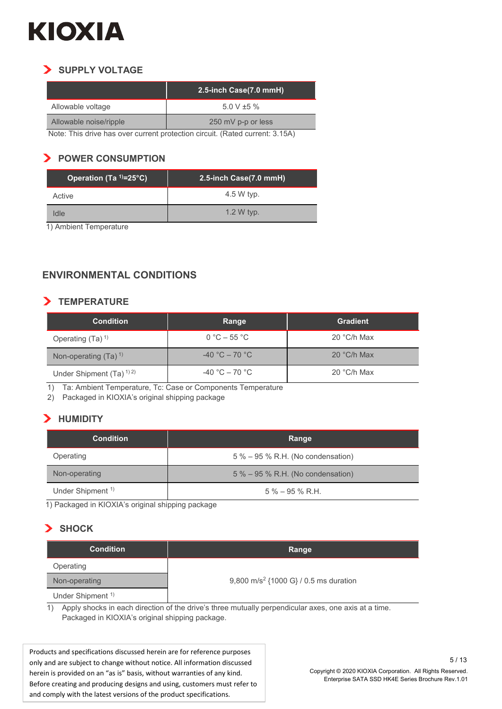#### **SUPPLY VOLTAGE**  $\blacktriangleright$

|                        | 2.5-inch Case(7.0 mmH) |
|------------------------|------------------------|
| Allowable voltage      | 5.0 V $\pm$ 5 %        |
| Allowable noise/ripple | 250 mV p-p or less     |

Note: This drive has over current protection circuit. (Rated current: 3.15A)

#### **POWER CONSUMPTION**

| Operation (Ta <sup>1)</sup> =25°C) | 2.5-inch Case(7.0 mmH) |  |
|------------------------------------|------------------------|--|
| Active                             | 4.5 W typ.             |  |
| Idle                               | 1.2 W typ.             |  |

1) Ambient Temperature

#### **ENVIRONMENTAL CONDITIONS**

#### **TEMPERATURE**

| <b>Condition</b>            | Range             | <b>Gradient</b> |
|-----------------------------|-------------------|-----------------|
| Operating $(Ta)^{1}$        | $0 °C - 55 °C$    | $20 °C/h$ Max   |
| Non-operating $(Ta)^{1}$    | $-40$ °C $-70$ °C | 20 °C/h Max     |
| Under Shipment $(Ta)^{1/2}$ | $-40 °C - 70 °C$  | 20 °C/h Max     |

1) Ta: Ambient Temperature, Tc: Case or Components Temperature

2) Packaged in KIOXIA's original shipping package

#### **HUMIDITY**

| <b>Condition</b>             | Range                               |  |
|------------------------------|-------------------------------------|--|
| Operating                    | $5\% - 95\%$ R.H. (No condensation) |  |
| Non-operating                | $5\% - 95\%$ R.H. (No condensation) |  |
| Under Shipment <sup>1)</sup> | $5\% - 95\%$ R.H.                   |  |

1) Packaged in KIOXIA's original shipping package

#### **SHOCK**

| <b>Condition</b>             | Range                                             |
|------------------------------|---------------------------------------------------|
| Operating                    |                                                   |
| Non-operating                | 9,800 m/s <sup>2</sup> {1000 G} / 0.5 ms duration |
| Under Shipment <sup>1)</sup> |                                                   |

1) Apply shocks in each direction of the drive's three mutually perpendicular axes, one axis at a time. Packaged in KIOXIA's original shipping package.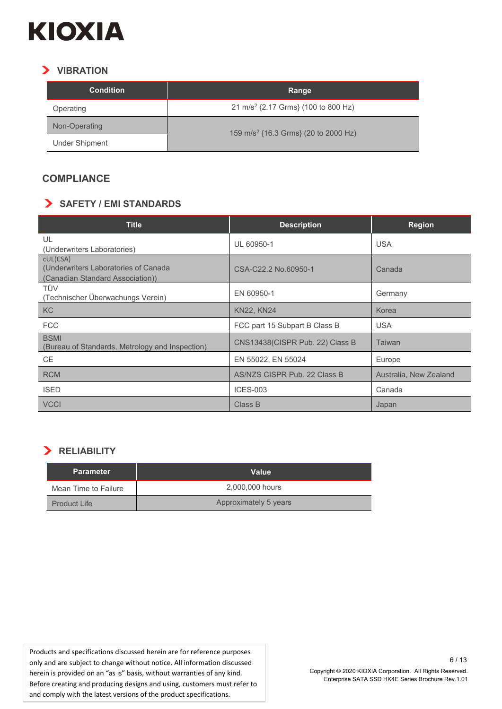

#### **VIBRATION**

| <b>Condition</b> | Range                                            |  |
|------------------|--------------------------------------------------|--|
| Operating        | 21 m/s <sup>2</sup> {2.17 Grms} (100 to 800 Hz)  |  |
| Non-Operating    | 159 m/s <sup>2</sup> {16.3 Grms} (20 to 2000 Hz) |  |
| Under Shipment   |                                                  |  |

#### **COMPLIANCE**

#### **SAFETY / EMI STANDARDS**

| <b>Title</b>                                                                          | <b>Description</b>              | <b>Region</b>          |
|---------------------------------------------------------------------------------------|---------------------------------|------------------------|
| UL<br>(Underwriters Laboratories)                                                     | UL 60950-1                      | <b>USA</b>             |
| cUL(CSA)<br>(Underwriters Laboratories of Canada)<br>(Canadian Standard Association)) | CSA-C22.2 No.60950-1            | Canada                 |
| TÜV<br>(Technischer Überwachungs Verein)                                              | EN 60950-1                      | Germany                |
| <b>KC</b>                                                                             | <b>KN22, KN24</b>               | Korea                  |
| <b>FCC</b>                                                                            | FCC part 15 Subpart B Class B   | <b>USA</b>             |
| <b>BSMI</b><br>(Bureau of Standards, Metrology and Inspection)                        | CNS13438(CISPR Pub. 22) Class B | Taiwan                 |
| <b>CE</b>                                                                             | EN 55022, EN 55024              | Europe                 |
| <b>RCM</b>                                                                            | AS/NZS CISPR Pub. 22 Class B    | Australia, New Zealand |
| <b>ISED</b>                                                                           | <b>ICES-003</b>                 | Canada                 |
| <b>VCCI</b>                                                                           | Class B                         | Japan                  |

#### **RELIABILITY**

| <b>Parameter</b>     | Value                 |
|----------------------|-----------------------|
| Mean Time to Failure | 2,000,000 hours       |
| Product Life         | Approximately 5 years |

Products and specifications discussed herein are for reference purposes only and are subject to change without notice. All information discussed herein is provided on an "as is" basis, without warranties of any kind. Before creating and producing designs and using, customers must refer to and comply with the latest versions of the product specifications.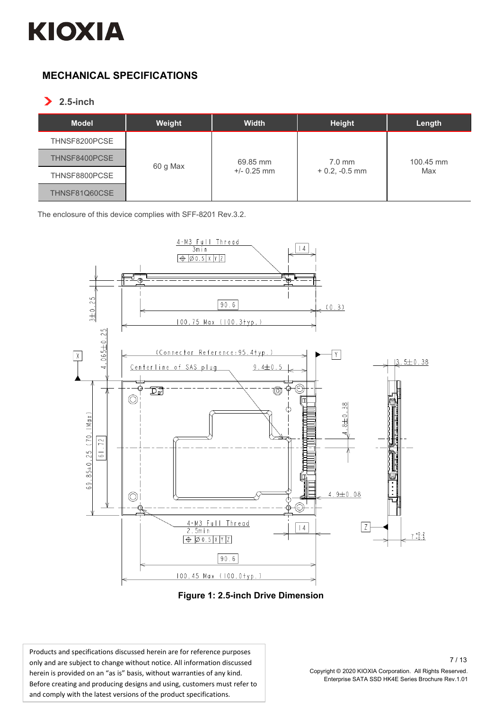

#### **MECHANICAL SPECIFICATIONS**

**2.5-inch**

| <b>Model</b>  | Weight   | <b>Width</b>              | <b>Height</b>               | Length           |
|---------------|----------|---------------------------|-----------------------------|------------------|
| THNSF8200PCSE |          |                           |                             |                  |
| THNSF8400PCSE | 60 g Max | 69.85 mm<br>$+/- 0.25$ mm | $7.0$ mm<br>$+0.2, -0.5$ mm | 100.45 mm<br>Max |
| THNSF8800PCSE |          |                           |                             |                  |
| THNSF81Q60CSE |          |                           |                             |                  |

The enclosure of this device complies with SFF-8201 Rev.3.2.



**Figure 1: 2.5-inch Drive Dimension**

Products and specifications discussed herein are for reference purposes only and are subject to change without notice. All information discussed herein is provided on an "as is" basis, without warranties of any kind. Before creating and producing designs and using, customers must refer to and comply with the latest versions of the product specifications.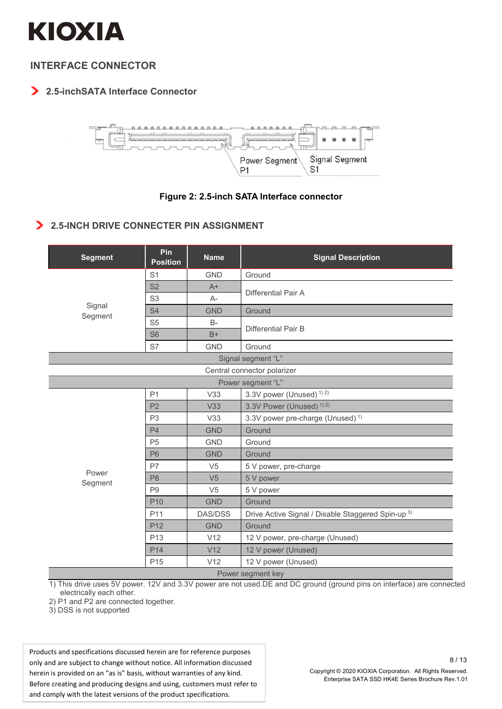

#### **INTERFACE CONNECTOR**

#### **2.5-inchSATA Interface Connector**



#### **Figure 2: 2.5-inch SATA Interface connector**

#### $\blacktriangleright$ **2.5-INCH DRIVE CONNECTER PIN ASSIGNMENT**

| <b>Segment</b>              | Pin<br><b>Position</b> | <b>Name</b>    | <b>Signal Description</b>                          |  |  |
|-----------------------------|------------------------|----------------|----------------------------------------------------|--|--|
|                             | S <sub>1</sub>         | GND            | Ground                                             |  |  |
|                             | S <sub>2</sub>         | $A+$           | Differential Pair A                                |  |  |
|                             | S <sub>3</sub>         | $A-$           |                                                    |  |  |
| Signal<br>Segment           | S <sub>4</sub>         | <b>GND</b>     | Ground                                             |  |  |
|                             | S <sub>5</sub>         | $B -$          | Differential Pair B                                |  |  |
|                             | S <sub>6</sub>         | $B+$           |                                                    |  |  |
|                             | S7                     | <b>GND</b>     | Ground                                             |  |  |
|                             |                        |                | Signal segment "L"                                 |  |  |
| Central connector polarizer |                        |                |                                                    |  |  |
| Power segment "L"           |                        |                |                                                    |  |  |
|                             | P <sub>1</sub>         | V33            | 3.3V power (Unused) <sup>1)2)</sup>                |  |  |
|                             | P <sub>2</sub>         | V33            | 3.3V Power (Unused) <sup>1)2)</sup>                |  |  |
|                             | P <sub>3</sub>         | V33            | 3.3V power pre-charge (Unused) <sup>1)</sup>       |  |  |
|                             | P <sub>4</sub>         | <b>GND</b>     | Ground                                             |  |  |
|                             | P <sub>5</sub>         | <b>GND</b>     | Ground                                             |  |  |
|                             | <b>P6</b>              | <b>GND</b>     | Ground                                             |  |  |
| Power                       | <b>P7</b>              | V <sub>5</sub> | 5 V power, pre-charge                              |  |  |
| Segment                     | P <sub>8</sub>         | V <sub>5</sub> | 5 V power                                          |  |  |
|                             | P <sub>9</sub>         | V <sub>5</sub> | 5 V power                                          |  |  |
|                             | P <sub>10</sub>        | <b>GND</b>     | Ground                                             |  |  |
|                             | P <sub>11</sub>        | <b>DAS/DSS</b> | Drive Active Signal / Disable Staggered Spin-up 3) |  |  |
|                             | P <sub>12</sub>        | <b>GND</b>     | Ground                                             |  |  |
|                             | P <sub>13</sub>        | V12            | 12 V power, pre-charge (Unused)                    |  |  |
|                             | P <sub>14</sub>        | V12            | 12 V power (Unused)                                |  |  |
|                             | P <sub>15</sub>        | V12            | 12 V power (Unused)                                |  |  |
| Power segment key           |                        |                |                                                    |  |  |

1) This drive uses 5V power. 12V and 3.3V power are not used.DE and DC ground (ground pins on interface) are connected electrically each other.

2) P1 and P2 are connected together.

3) DSS is not supported

Products and specifications discussed herein are for reference purposes only and are subject to change without notice. All information discussed herein is provided on an "as is" basis, without warranties of any kind. Before creating and producing designs and using, customers must refer to and comply with the latest versions of the product specifications.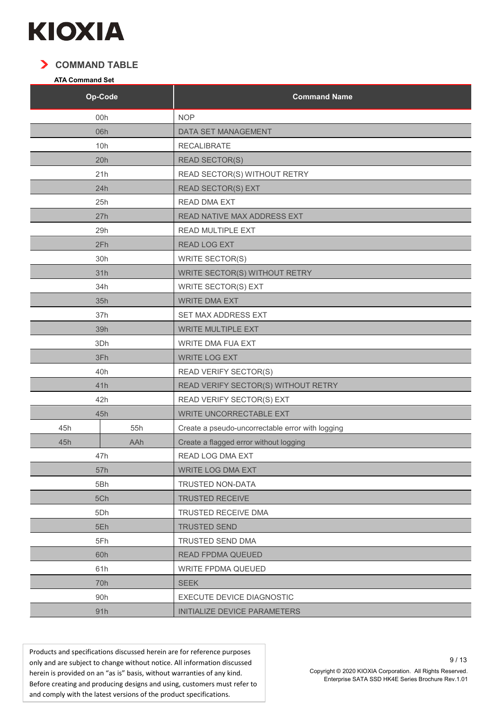

#### **COMMAND TABLE**

#### **ATA Command Set**

| Op-Code |     | <b>Command Name</b>                              |
|---------|-----|--------------------------------------------------|
| 00h     |     | <b>NOP</b>                                       |
|         | 06h | DATA SET MANAGEMENT                              |
|         | 10h | <b>RECALIBRATE</b>                               |
|         | 20h | <b>READ SECTOR(S)</b>                            |
|         | 21h | READ SECTOR(S) WITHOUT RETRY                     |
|         | 24h | <b>READ SECTOR(S) EXT</b>                        |
|         | 25h | <b>READ DMA EXT</b>                              |
|         | 27h | READ NATIVE MAX ADDRESS EXT                      |
|         | 29h | READ MULTIPLE EXT                                |
|         | 2Fh | READ LOG EXT                                     |
|         | 30h | <b>WRITE SECTOR(S)</b>                           |
|         | 31h | WRITE SECTOR(S) WITHOUT RETRY                    |
|         | 34h | <b>WRITE SECTOR(S) EXT</b>                       |
|         | 35h | <b>WRITE DMA EXT</b>                             |
|         | 37h | SET MAX ADDRESS EXT                              |
|         | 39h | <b>WRITE MULTIPLE EXT</b>                        |
|         | 3Dh | WRITE DMA FUA EXT                                |
|         | 3Fh | <b>WRITE LOG EXT</b>                             |
|         | 40h | <b>READ VERIFY SECTOR(S)</b>                     |
|         | 41h | READ VERIFY SECTOR(S) WITHOUT RETRY              |
|         | 42h | READ VERIFY SECTOR(S) EXT                        |
|         | 45h | <b>WRITE UNCORRECTABLE EXT</b>                   |
| 45h     | 55h | Create a pseudo-uncorrectable error with logging |
| 45h     | AAh | Create a flagged error without logging           |
|         | 47h | READ LOG DMA EXT                                 |
|         | 57h | <b>WRITE LOG DMA EXT</b>                         |
| 5Bh     |     | TRUSTED NON-DATA                                 |
| 5Ch     |     | <b>TRUSTED RECEIVE</b>                           |
| 5Dh     |     | TRUSTED RECEIVE DMA                              |
| 5Eh     |     | <b>TRUSTED SEND</b>                              |
| 5Fh     |     | TRUSTED SEND DMA                                 |
| 60h     |     | <b>READ FPDMA QUEUED</b>                         |
| 61h     |     | <b>WRITE FPDMA QUEUED</b>                        |
|         | 70h | <b>SEEK</b>                                      |
|         | 90h | <b>EXECUTE DEVICE DIAGNOSTIC</b>                 |
| 91h     |     | INITIALIZE DEVICE PARAMETERS                     |

Products and specifications discussed herein are for reference purposes only and are subject to change without notice. All information discussed herein is provided on an "as is" basis, without warranties of any kind. Before creating and producing designs and using, customers must refer to and comply with the latest versions of the product specifications.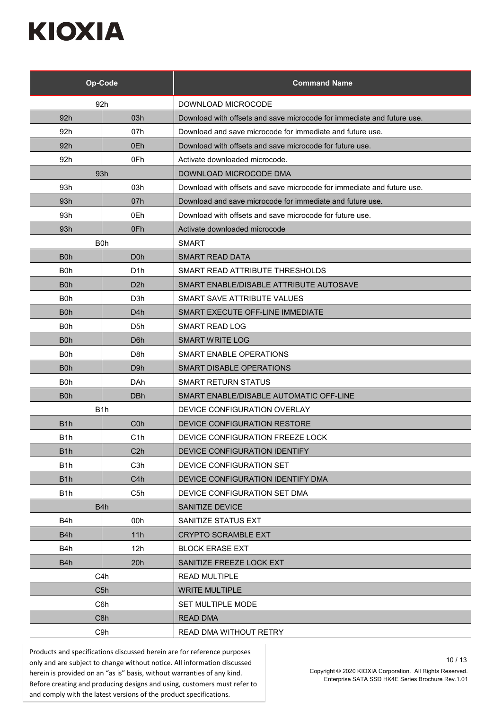| Op-Code          |                  | <b>Command Name</b>                                                    |
|------------------|------------------|------------------------------------------------------------------------|
| 92h              |                  | DOWNLOAD MICROCODE                                                     |
| 92h              | 03h              | Download with offsets and save microcode for immediate and future use. |
| 92h              | 07h              | Download and save microcode for immediate and future use.              |
| 92 <sub>h</sub>  | 0Eh              | Download with offsets and save microcode for future use.               |
| 92h              | 0Fh              | Activate downloaded microcode.                                         |
|                  | 93h              | DOWNLOAD MICROCODE DMA                                                 |
| 93h              | 03h              | Download with offsets and save microcode for immediate and future use. |
| 93h              | 07h              | Download and save microcode for immediate and future use.              |
| 93h              | 0Eh              | Download with offsets and save microcode for future use.               |
| 93h              | 0Fh              | Activate downloaded microcode                                          |
| B <sub>0</sub> h |                  | <b>SMART</b>                                                           |
| B <sub>0</sub> h | D <sub>0</sub> h | <b>SMART READ DATA</b>                                                 |
| B <sub>0</sub> h | D <sub>1</sub> h | SMART READ ATTRIBUTE THRESHOLDS                                        |
| B <sub>0</sub> h | D <sub>2</sub> h | SMART ENABLE/DISABLE ATTRIBUTE AUTOSAVE                                |
| B <sub>0</sub> h | D3h              | SMART SAVE ATTRIBUTE VALUES                                            |
| B <sub>0</sub> h | D4h              | SMART EXECUTE OFF-LINE IMMEDIATE                                       |
| B <sub>0</sub> h | D5h              | <b>SMART READ LOG</b>                                                  |
| B0h              | D6h              | <b>SMART WRITE LOG</b>                                                 |
| B <sub>0</sub> h | D <sub>8</sub> h | <b>SMART ENABLE OPERATIONS</b>                                         |
| B <sub>0</sub> h | D <sub>9</sub> h | SMART DISABLE OPERATIONS                                               |
| B0h              | DAh              | <b>SMART RETURN STATUS</b>                                             |
| B0h              | <b>DBh</b>       | SMART ENABLE/DISABLE AUTOMATIC OFF-LINE                                |
| B <sub>1</sub> h |                  | DEVICE CONFIGURATION OVERLAY                                           |
| B <sub>1</sub> h | C <sub>0</sub> h | DEVICE CONFIGURATION RESTORE                                           |
| B <sub>1</sub> h | C1h              | DEVICE CONFIGURATION FREEZE LOCK                                       |
| B <sub>1</sub> h | C2h              | DEVICE CONFIGURATION IDENTIFY                                          |
| B <sub>1</sub> h | C <sub>3</sub> h | DEVICE CONFIGURATION SET                                               |
| B <sub>1</sub> h | C <sub>4</sub> h | DEVICE CONFIGURATION IDENTIFY DMA                                      |
| B <sub>1</sub> h | C5h              | DEVICE CONFIGURATION SET DMA                                           |
| B <sub>4</sub> h |                  | <b>SANITIZE DEVICE</b>                                                 |
| B4h              | 00h              | SANITIZE STATUS EXT                                                    |
| B <sub>4</sub> h | 11h              | <b>CRYPTO SCRAMBLE EXT</b>                                             |
| B4h              | 12h              | <b>BLOCK ERASE EXT</b>                                                 |
| B <sub>4</sub> h | 20h              | SANITIZE FREEZE LOCK EXT                                               |
| C4h              |                  | <b>READ MULTIPLE</b>                                                   |
| C <sub>5</sub> h |                  | <b>WRITE MULTIPLE</b>                                                  |
| C6h              |                  | <b>SET MULTIPLE MODE</b>                                               |
| C <sub>8</sub> h |                  | <b>READ DMA</b>                                                        |
| C9h              |                  | READ DMA WITHOUT RETRY                                                 |

Products and specifications discussed herein are for reference purposes only and are subject to change without notice. All information discussed herein is provided on an "as is" basis, without warranties of any kind. Before creating and producing designs and using, customers must refer to and comply with the latest versions of the product specifications.

Copyright © 2020 KIOXIA Corporation. All Rights Reserved. Enterprise SATA SSD HK4E Series Brochure Rev.1.01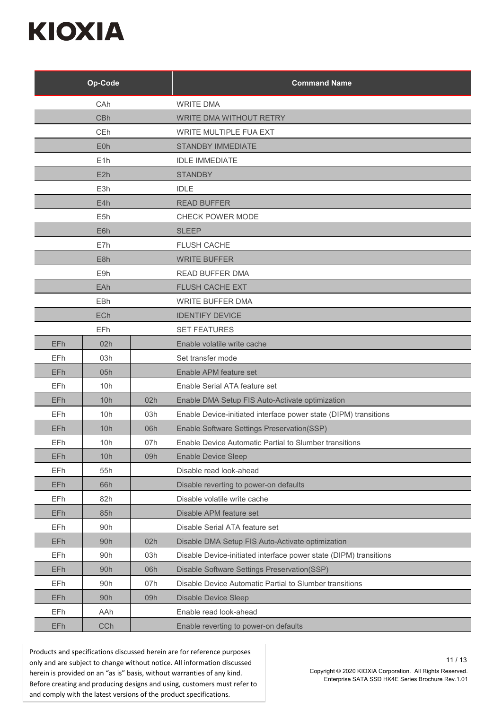|            | Op-Code          |     | <b>Command Name</b>                                               |
|------------|------------------|-----|-------------------------------------------------------------------|
| CAh        |                  |     | <b>WRITE DMA</b>                                                  |
| <b>CBh</b> |                  |     | <b>WRITE DMA WITHOUT RETRY</b>                                    |
| CEh        |                  |     | <b>WRITE MULTIPLE FUA EXT</b>                                     |
|            | E <sub>0</sub> h |     | <b>STANDBY IMMEDIATE</b>                                          |
|            | E1h              |     | <b>IDLE IMMEDIATE</b>                                             |
|            | E2h              |     | <b>STANDBY</b>                                                    |
|            | E3h              |     | <b>IDLE</b>                                                       |
|            | E4h              |     | <b>READ BUFFER</b>                                                |
|            | E <sub>5h</sub>  |     | CHECK POWER MODE                                                  |
|            | E6h              |     | <b>SLEEP</b>                                                      |
|            | E7h              |     | <b>FLUSH CACHE</b>                                                |
|            | E <sub>8h</sub>  |     | <b>WRITE BUFFER</b>                                               |
|            | E9h              |     | <b>READ BUFFER DMA</b>                                            |
|            | EAh              |     | FLUSH CACHE EXT                                                   |
|            | <b>EBh</b>       |     | <b>WRITE BUFFER DMA</b>                                           |
|            | <b>ECh</b>       |     | <b>IDENTIFY DEVICE</b>                                            |
|            | EFh              |     | <b>SET FEATURES</b>                                               |
| EFh        | 02h              |     | Enable volatile write cache                                       |
| EFh        | 03h              |     | Set transfer mode                                                 |
| EFh        | 05h              |     | Enable APM feature set                                            |
| EFh        | 10h              |     | Enable Serial ATA feature set                                     |
| EFh        | 10h              | 02h | Enable DMA Setup FIS Auto-Activate optimization                   |
| EFh        | 10h              | 03h | Enable Device-initiated interface power state (DIPM) transitions  |
| EFh        | 10h              | 06h | Enable Software Settings Preservation(SSP)                        |
| EFh        | 10h              | 07h | Enable Device Automatic Partial to Slumber transitions            |
| EFh        | 10h              | 09h | <b>Enable Device Sleep</b>                                        |
| EFh        | 55h              |     | Disable read look-ahead                                           |
| EFh        | 66h              |     | Disable reverting to power-on defaults                            |
| EFh        | 82h              |     | Disable volatile write cache                                      |
| EFh        | 85h              |     | Disable APM feature set                                           |
| EFh        | 90h              |     | Disable Serial ATA feature set                                    |
| EFh        | 90h              | 02h | Disable DMA Setup FIS Auto-Activate optimization                  |
| EFh        | 90h              | 03h | Disable Device-initiated interface power state (DIPM) transitions |
| EFh        | 90h              | 06h | Disable Software Settings Preservation(SSP)                       |
| EFh        | 90h              | 07h | Disable Device Automatic Partial to Slumber transitions           |
| <b>EFh</b> | 90h              | 09h | <b>Disable Device Sleep</b>                                       |
| EFh        | AAh              |     | Enable read look-ahead                                            |
| EFh        | CCh              |     | Enable reverting to power-on defaults                             |

Products and specifications discussed herein are for reference purposes only and are subject to change without notice. All information discussed herein is provided on an "as is" basis, without warranties of any kind. Before creating and producing designs and using, customers must refer to and comply with the latest versions of the product specifications.

Copyright © 2020 KIOXIA Corporation. All Rights Reserved. Enterprise SATA SSD HK4E Series Brochure Rev.1.01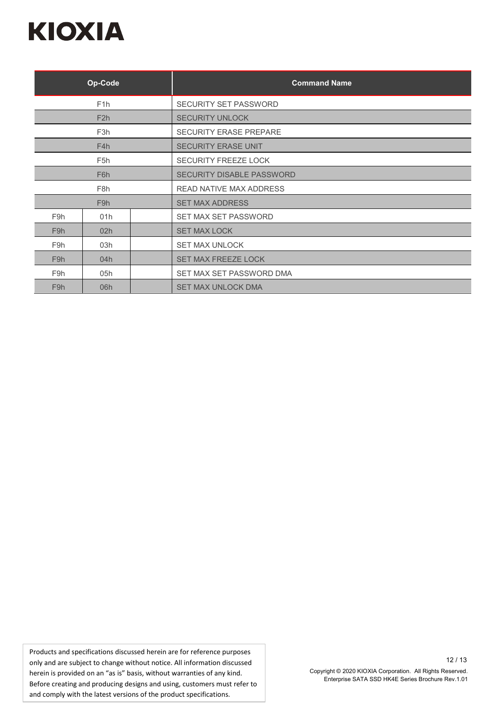| Op-Code                 |                  |  | <b>Command Name</b>              |  |
|-------------------------|------------------|--|----------------------------------|--|
|                         | F <sub>1</sub> h |  | <b>SECURITY SET PASSWORD</b>     |  |
|                         | F2h              |  | <b>SECURITY UNLOCK</b>           |  |
|                         | F <sub>3</sub> h |  | <b>SECURITY ERASE PREPARE</b>    |  |
|                         | F4h              |  | <b>SECURITY ERASE UNIT</b>       |  |
|                         | F <sub>5</sub> h |  | <b>SECURITY FREEZE LOCK</b>      |  |
| F <sub>6</sub> h        |                  |  | <b>SECURITY DISABLE PASSWORD</b> |  |
| F <sub>8</sub> h        |                  |  | <b>READ NATIVE MAX ADDRESS</b>   |  |
| F <sub>9</sub> h        |                  |  | <b>SET MAX ADDRESS</b>           |  |
| F9h                     | 01h              |  | SET MAX SET PASSWORD             |  |
| F <sub>9</sub> h        | 02h              |  | <b>SET MAX LOCK</b>              |  |
| F9h                     | 03h              |  | <b>SET MAX UNLOCK</b>            |  |
| F <sub>9</sub> h        | 04h              |  | <b>SET MAX FREEZE LOCK</b>       |  |
| F9h                     | 05h              |  | SET MAX SET PASSWORD DMA         |  |
| F <sub>9</sub> h<br>06h |                  |  | <b>SET MAX UNLOCK DMA</b>        |  |